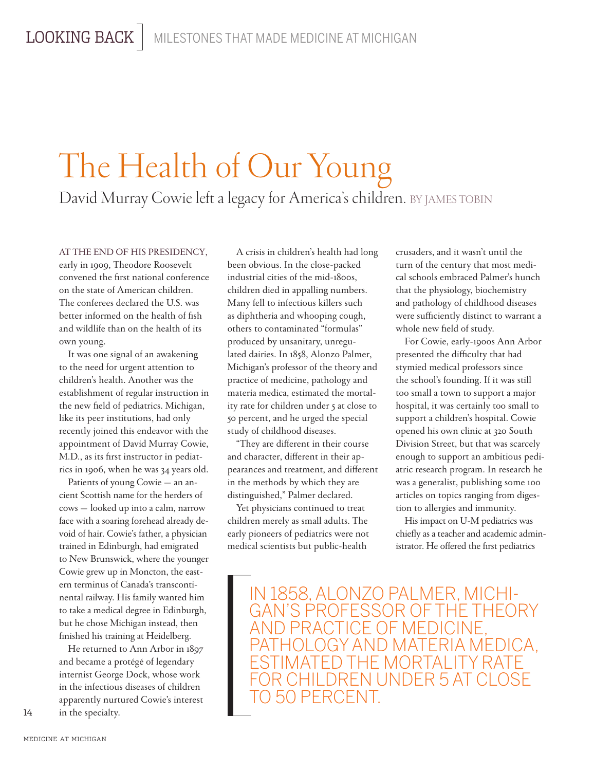## The Health of Our Young David Murray Cowie left a legacy for America's children. BY JAMES TOBIN

## AT THE END OF HIS PRESIDENCY,

early in 1909, Theodore Roosevelt convened the first national conference on the state of American children. The conferees declared the U.S. was better informed on the health of fish and wildlife than on the health of its own young.

It was one signal of an awakening to the need for urgent attention to children's health. Another was the establishment of regular instruction in the new field of pediatrics. Michigan, like its peer institutions, had only recently joined this endeavor with the appointment of David Murray Cowie, M.D., as its first instructor in pediatrics in 1906, when he was 34 years old.

Patients of young Cowie — an ancient Scottish name for the herders of cows — looked up into a calm, narrow face with a soaring forehead already devoid of hair. Cowie's father, a physician trained in Edinburgh, had emigrated to New Brunswick, where the younger Cowie grew up in Moncton, the eastern terminus of Canada's transcontinental railway. His family wanted him to take a medical degree in Edinburgh, but he chose Michigan instead, then finished his training at Heidelberg.

He returned to Ann Arbor in 1897 and became a protégé of legendary internist George Dock, whose work in the infectious diseases of children apparently nurtured Cowie's interest in the specialty.

A crisis in children's health had long been obvious. In the close-packed industrial cities of the mid-1800s, children died in appalling numbers. Many fell to infectious killers such as diphtheria and whooping cough, others to contaminated "formulas" produced by unsanitary, unregulated dairies. In 1858, Alonzo Palmer, Michigan's professor of the theory and practice of medicine, pathology and materia medica, estimated the mortality rate for children under 5 at close to 50 percent, and he urged the special study of childhood diseases.

"They are different in their course and character, different in their appearances and treatment, and different in the methods by which they are distinguished," Palmer declared.

Yet physicians continued to treat children merely as small adults. The early pioneers of pediatrics were not medical scientists but public-health

crusaders, and it wasn't until the turn of the century that most medical schools embraced Palmer's hunch that the physiology, biochemistry and pathology of childhood diseases were sufficiently distinct to warrant a whole new field of study.

For Cowie, early-1900s Ann Arbor presented the difficulty that had stymied medical professors since the school's founding. If it was still too small a town to support a major hospital, it was certainly too small to support a children's hospital. Cowie opened his own clinic at 320 South Division Street, but that was scarcely enough to support an ambitious pediatric research program. In research he was a generalist, publishing some 100 articles on topics ranging from digestion to allergies and immunity.

His impact on U-M pediatrics was chiefly as a teacher and academic administrator. He offered the first pediatrics

IN 1858, ALONZO PALMER, MICHI-AND PRACTICE OF MEDICINE, PATHOLOGY AND MATERIA MEDICA, ESTIMATED THE MORTALITY RATE FOR CHILDREN UNDER 5 AT CLOSE TO 50 PERCENT.